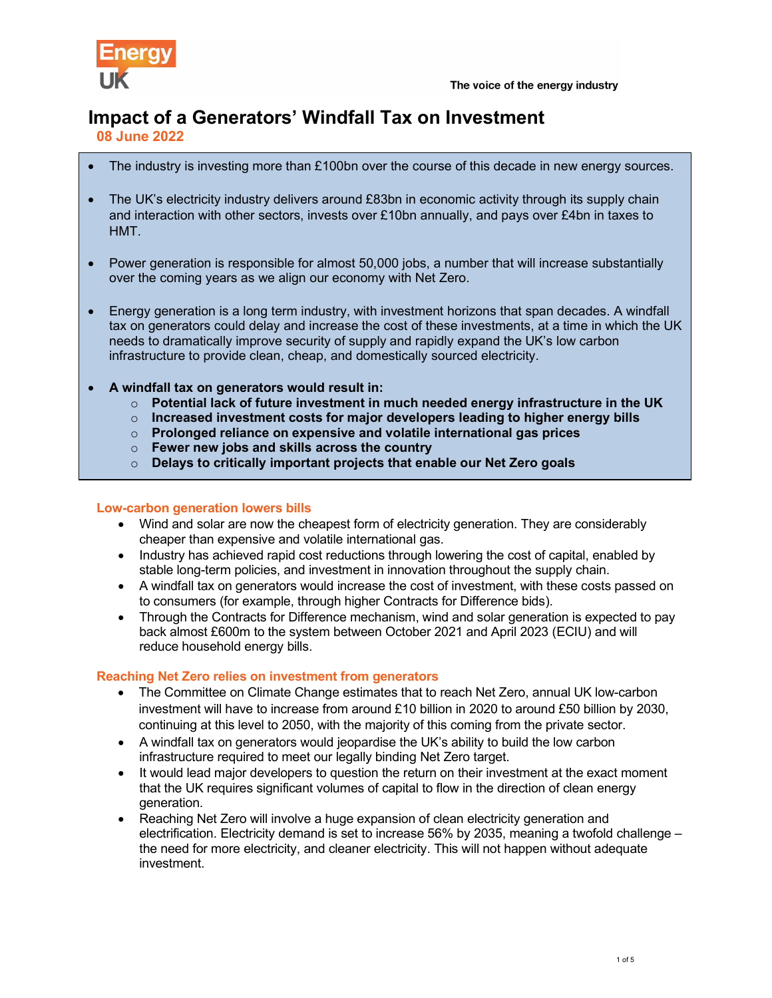

# Impact of a Generators' Windfall Tax on Investment

08 June 2022

- The industry is investing more than £100bn over the course of this decade in new energy sources.
- The UK's electricity industry delivers around £83bn in economic activity through its supply chain and interaction with other sectors, invests over £10bn annually, and pays over £4bn in taxes to HMT.
- Power generation is responsible for almost 50,000 jobs, a number that will increase substantially over the coming years as we align our economy with Net Zero.
- Energy generation is a long term industry, with investment horizons that span decades. A windfall tax on generators could delay and increase the cost of these investments, at a time in which the UK needs to dramatically improve security of supply and rapidly expand the UK's low carbon infrastructure to provide clean, cheap, and domestically sourced electricity.
- A windfall tax on generators would result in:
	- $\circ$  Potential lack of future investment in much needed energy infrastructure in the UK
	- $\circ$  Increased investment costs for major developers leading to higher energy bills
	- $\circ$  Prolonged reliance on expensive and volatile international gas prices
	- $\circ$  Fewer new jobs and skills across the country
	- $\circ$  Delays to critically important projects that enable our Net Zero goals

## Low-carbon generation lowers bills

- Wind and solar are now the cheapest form of electricity generation. They are considerably cheaper than expensive and volatile international gas.
- Industry has achieved rapid cost reductions through lowering the cost of capital, enabled by stable long-term policies, and investment in innovation throughout the supply chain.
- A windfall tax on generators would increase the cost of investment, with these costs passed on to consumers (for example, through higher Contracts for Difference bids).
- Through the Contracts for Difference mechanism, wind and solar generation is expected to pay back almost £600m to the system between October 2021 and April 2023 (ECIU) and will reduce household energy bills.

## Reaching Net Zero relies on investment from generators

- The Committee on Climate Change estimates that to reach Net Zero, annual UK low-carbon investment will have to increase from around £10 billion in 2020 to around £50 billion by 2030, continuing at this level to 2050, with the majority of this coming from the private sector.
- A windfall tax on generators would jeopardise the UK's ability to build the low carbon infrastructure required to meet our legally binding Net Zero target.
- It would lead major developers to question the return on their investment at the exact moment that the UK requires significant volumes of capital to flow in the direction of clean energy generation.
- Reaching Net Zero will involve a huge expansion of clean electricity generation and electrification. Electricity demand is set to increase 56% by 2035, meaning a twofold challenge – the need for more electricity, and cleaner electricity. This will not happen without adequate investment.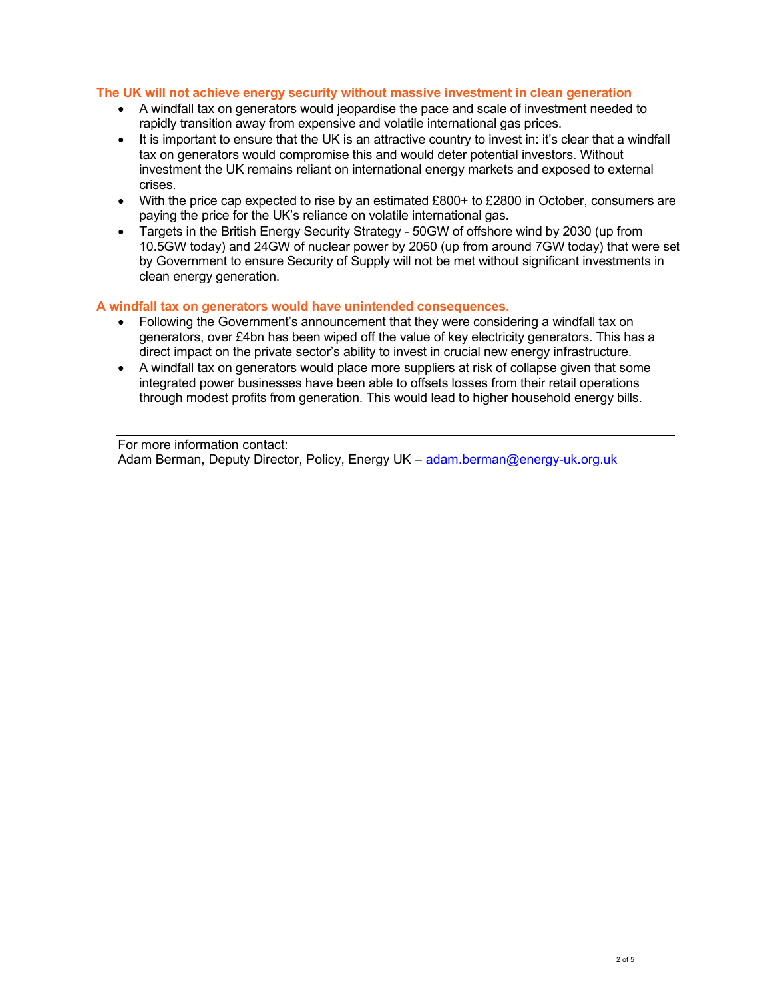## The UK will not achieve energy security without massive investment in clean generation

- A windfall tax on generators would jeopardise the pace and scale of investment needed to rapidly transition away from expensive and volatile international gas prices.
- It is important to ensure that the UK is an attractive country to invest in: it's clear that a windfall tax on generators would compromise this and would deter potential investors. Without investment the UK remains reliant on international energy markets and exposed to external crises.
- With the price cap expected to rise by an estimated £800+ to £2800 in October, consumers are paying the price for the UK's reliance on volatile international gas.
- Targets in the British Energy Security Strategy 50GW of offshore wind by 2030 (up from 10.5GW today) and 24GW of nuclear power by 2050 (up from around 7GW today) that were set by Government to ensure Security of Supply will not be met without significant investments in clean energy generation.

### A windfall tax on generators would have unintended consequences.

- Following the Government's announcement that they were considering a windfall tax on generators, over £4bn has been wiped off the value of key electricity generators. This has a direct impact on the private sector's ability to invest in crucial new energy infrastructure.
- A windfall tax on generators would place more suppliers at risk of collapse given that some integrated power businesses have been able to offsets losses from their retail operations through modest profits from generation. This would lead to higher household energy bills.

For more information contact: Adam Berman, Deputy Director, Policy, Energy UK – adam.berman@energy-uk.org.uk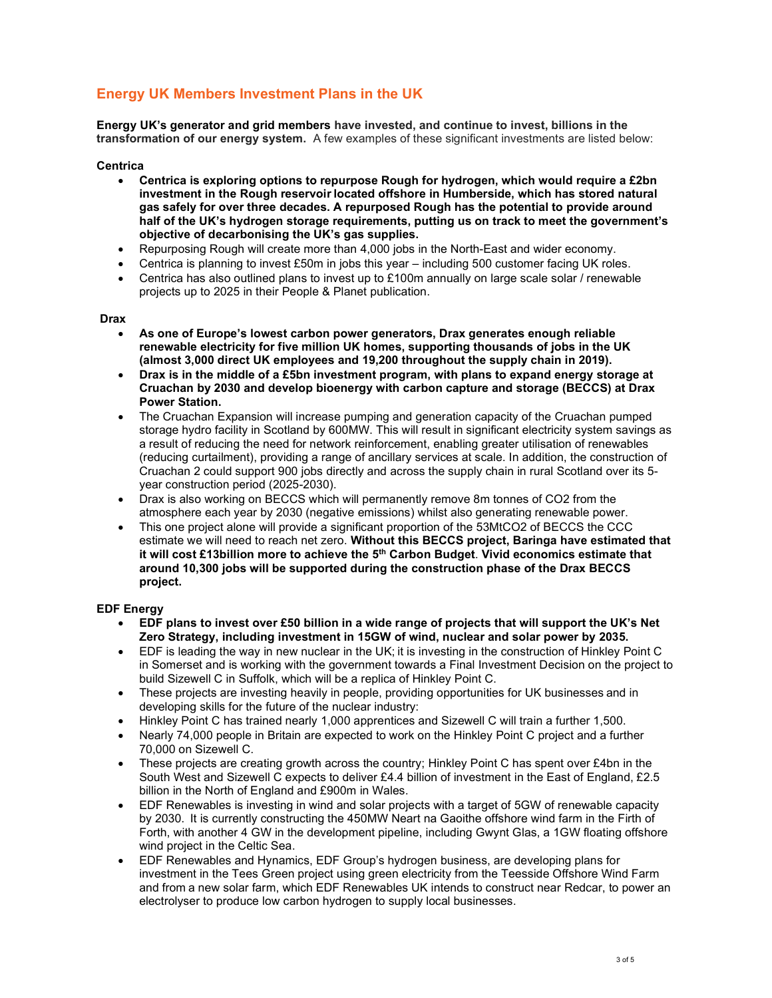## Energy UK Members Investment Plans in the UK

Energy UK's generator and grid members have invested, and continue to invest, billions in the transformation of our energy system. A few examples of these significant investments are listed below:

#### **Centrica**

- Centrica is exploring options to repurpose Rough for hydrogen, which would require a £2bn investment in the Rough reservoir located offshore in Humberside, which has stored natural gas safely for over three decades. A repurposed Rough has the potential to provide around half of the UK's hydrogen storage requirements, putting us on track to meet the government's objective of decarbonising the UK's gas supplies.
- Repurposing Rough will create more than 4,000 jobs in the North-East and wider economy.
- Centrica is planning to invest £50m in jobs this year including 500 customer facing UK roles.
- Centrica has also outlined plans to invest up to £100m annually on large scale solar / renewable projects up to 2025 in their People & Planet publication.

#### Drax

- As one of Europe's lowest carbon power generators, Drax generates enough reliable renewable electricity for five million UK homes, supporting thousands of jobs in the UK (almost 3,000 direct UK employees and 19,200 throughout the supply chain in 2019).
- Drax is in the middle of a £5bn investment program, with plans to expand energy storage at Cruachan by 2030 and develop bioenergy with carbon capture and storage (BECCS) at Drax Power Station.
- The Cruachan Expansion will increase pumping and generation capacity of the Cruachan pumped storage hydro facility in Scotland by 600MW. This will result in significant electricity system savings as a result of reducing the need for network reinforcement, enabling greater utilisation of renewables (reducing curtailment), providing a range of ancillary services at scale. In addition, the construction of Cruachan 2 could support 900 jobs directly and across the supply chain in rural Scotland over its 5 year construction period (2025-2030).
- Drax is also working on BECCS which will permanently remove 8m tonnes of CO2 from the atmosphere each year by 2030 (negative emissions) whilst also generating renewable power.
- This one project alone will provide a significant proportion of the 53MtCO2 of BECCS the CCC estimate we will need to reach net zero. Without this BECCS project, Baringa have estimated that it will cost £13billion more to achieve the 5<sup>th</sup> Carbon Budget. Vivid economics estimate that around 10,300 jobs will be supported during the construction phase of the Drax BECCS project.

#### EDF Energy

- EDF plans to invest over £50 billion in a wide range of projects that will support the UK's Net Zero Strategy, including investment in 15GW of wind, nuclear and solar power by 2035.
- EDF is leading the way in new nuclear in the UK; it is investing in the construction of Hinkley Point C in Somerset and is working with the government towards a Final Investment Decision on the project to build Sizewell C in Suffolk, which will be a replica of Hinkley Point C.
- These projects are investing heavily in people, providing opportunities for UK businesses and in developing skills for the future of the nuclear industry:
- Hinkley Point C has trained nearly 1,000 apprentices and Sizewell C will train a further 1,500.
- Nearly 74,000 people in Britain are expected to work on the Hinkley Point C project and a further 70,000 on Sizewell C.
- $\bullet$  These projects are creating growth across the country; Hinkley Point C has spent over £4bn in the South West and Sizewell C expects to deliver £4.4 billion of investment in the East of England, £2.5 billion in the North of England and £900m in Wales.
- EDF Renewables is investing in wind and solar projects with a target of 5GW of renewable capacity by 2030.  It is currently constructing the 450MW Neart na Gaoithe offshore wind farm in the Firth of Forth, with another 4 GW in the development pipeline, including Gwynt Glas, a 1GW floating offshore wind project in the Celtic Sea.
- EDF Renewables and Hynamics, EDF Group's hydrogen business, are developing plans for investment in the Tees Green project using green electricity from the Teesside Offshore Wind Farm and from a new solar farm, which EDF Renewables UK intends to construct near Redcar, to power an electrolyser to produce low carbon hydrogen to supply local businesses.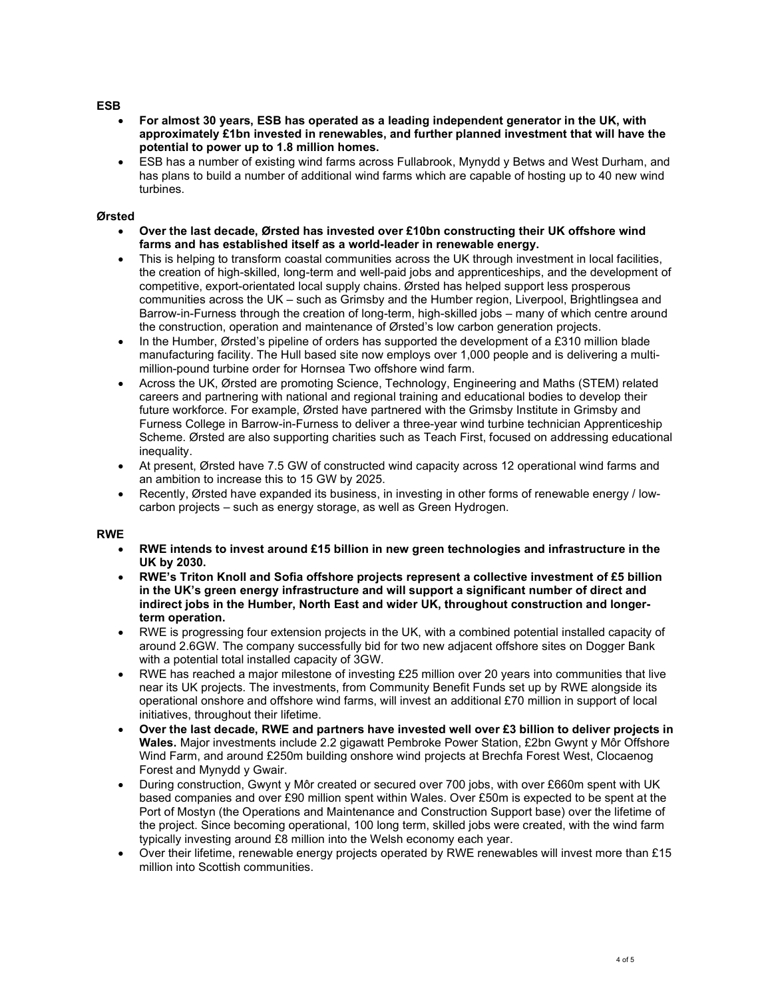#### ESB

- For almost 30 years, ESB has operated as a leading independent generator in the UK, with approximately £1bn invested in renewables, and further planned investment that will have the potential to power up to 1.8 million homes.
- ESB has a number of existing wind farms across Fullabrook, Mynydd y Betws and West Durham, and has plans to build a number of additional wind farms which are capable of hosting up to 40 new wind turbines.

#### Ørsted

- Over the last decade, Ørsted has invested over £10bn constructing their UK offshore wind farms and has established itself as a world-leader in renewable energy.
- This is helping to transform coastal communities across the UK through investment in local facilities, the creation of high-skilled, long-term and well-paid jobs and apprenticeships, and the development of competitive, export-orientated local supply chains. Ørsted has helped support less prosperous communities across the UK – such as Grimsby and the Humber region, Liverpool, Brightlingsea and Barrow-in-Furness through the creation of long-term, high-skilled jobs – many of which centre around the construction, operation and maintenance of Ørsted's low carbon generation projects.
- In the Humber, Ørsted's pipeline of orders has supported the development of a £310 million blade manufacturing facility. The Hull based site now employs over 1,000 people and is delivering a multimillion-pound turbine order for Hornsea Two offshore wind farm.
- Across the UK, Ørsted are promoting Science, Technology, Engineering and Maths (STEM) related careers and partnering with national and regional training and educational bodies to develop their future workforce. For example, Ørsted have partnered with the Grimsby Institute in Grimsby and Furness College in Barrow-in-Furness to deliver a three-year wind turbine technician Apprenticeship Scheme. Ørsted are also supporting charities such as Teach First, focused on addressing educational inequality.
- At present, Ørsted have 7.5 GW of constructed wind capacity across 12 operational wind farms and an ambition to increase this to 15 GW by 2025.
- Recently, Ørsted have expanded its business, in investing in other forms of renewable energy / lowcarbon projects – such as energy storage, as well as Green Hydrogen.

#### RWE

- RWE intends to invest around £15 billion in new green technologies and infrastructure in the UK by 2030.
- RWE's Triton Knoll and Sofia offshore projects represent a collective investment of £5 billion in the UK's green energy infrastructure and will support a significant number of direct and indirect jobs in the Humber, North East and wider UK, throughout construction and longerterm operation.
- RWE is progressing four extension projects in the UK, with a combined potential installed capacity of around 2.6GW. The company successfully bid for two new adjacent offshore sites on Dogger Bank with a potential total installed capacity of 3GW.
- RWE has reached a major milestone of investing £25 million over 20 years into communities that live near its UK projects. The investments, from Community Benefit Funds set up by RWE alongside its operational onshore and offshore wind farms, will invest an additional £70 million in support of local initiatives, throughout their lifetime.
- Over the last decade, RWE and partners have invested well over £3 billion to deliver projects in Wales. Major investments include 2.2 gigawatt Pembroke Power Station, £2bn Gwynt y Môr Offshore Wind Farm, and around £250m building onshore wind projects at Brechfa Forest West, Clocaenog Forest and Mynydd y Gwair.
- During construction, Gwynt y Môr created or secured over 700 jobs, with over £660m spent with UK based companies and over £90 million spent within Wales. Over £50m is expected to be spent at the Port of Mostyn (the Operations and Maintenance and Construction Support base) over the lifetime of the project. Since becoming operational, 100 long term, skilled jobs were created, with the wind farm typically investing around £8 million into the Welsh economy each year.
- Over their lifetime, renewable energy projects operated by RWE renewables will invest more than £15 million into Scottish communities.